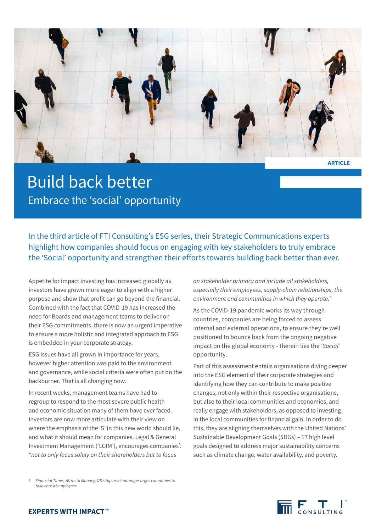

**ARTICLE**

## Build back better Embrace the 'social' opportunity

In the third article of FTI Consulting's ESG series, their Strategic Communications experts highlight how companies should focus on engaging with key stakeholders to truly embrace the 'Social' opportunity and strengthen their efforts towards building back better than ever.

Appetite for impact investing has increased globally as investors have grown more eager to align with a higher purpose and show that profit can go beyond the financial. Combined with the fact that COVID-19 has increased the need for Boards and management teams to deliver on their ESG commitments, there is now an urgent imperative to ensure a more holistic and integrated approach to ESG is embedded in your corporate strategy.

ESG issues have all grown in importance for years, however higher attention was paid to the environment and governance, while social criteria were often put on the backburner. That is all changing now.

In recent weeks, management teams have had to regroup to respond to the most severe public health and economic situation many of them have ever faced. Investors are now more articulate with their view on where the emphasis of the 'S' in this new world should lie, and what it should mean for companies. Legal & General Investment Management ('LGIM'), encourages companies<sup>1</sup>: *"not to only focus solely on their shareholders but to focus* 

*on stakeholder primacy and include all stakeholders, especially their employees, supply-chain relationships, the environment and communities in which they operate."*

As the COVID-19 pandemic works its way through countries, companies are being forced to assess internal and external operations, to ensure they're well positioned to bounce back from the ongoing negative impact on the global economy - therein lies the *'Social'* opportunity.

Part of this assessment entails organisations diving deeper into the ESG element of their corporate strategies and identifying how they can contribute to make positive changes, not only within their respective organisations, but also to their local communities and economies, and really engage with stakeholders, as opposed to investing in the local communities for financial gain. In order to do this, they are aligning themselves with the United Nations' Sustainable Development Goals (SDGs) – 17 high level goals designed to address major sustainability concerns such as climate change, water availability, and poverty.



<sup>1</sup> *Financial Times, Attracta Mooney, UK's top asset manager urges companies to take care of employees*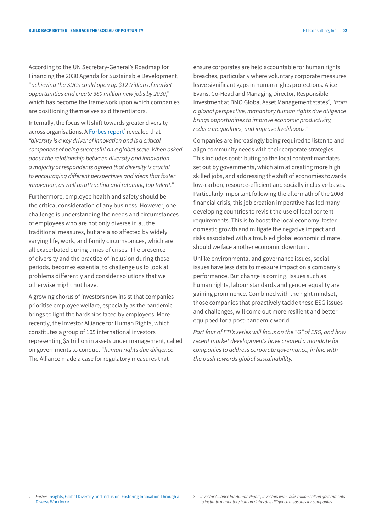According to the UN Secretary-General's Roadmap for Financing the 2030 Agenda for Sustainable Development, "*achieving the SDGs could open up \$12 trillion of market opportunities and create 380 million new jobs by 2030*," which has become the framework upon which companies are positioning themselves as differentiators.

Internally, the focus will shift towards greater diversity across organisations. A [Forbes report](https://i.forbesimg.com/forbesinsights/StudyPDFs/Innovation_Through_Diversity.pdf)<sup>2</sup> revealed that *"diversity is a key driver of innovation and is a critical component of being successful on a global scale. When asked about the relationship between diversity and innovation, a majority of respondents agreed that diversity is crucial to encouraging different perspectives and ideas that foster innovation, as well as attracting and retaining top talent."*

Furthermore, employee health and safety should be the critical consideration of any business. However, one challenge is understanding the needs and circumstances of employees who are not only diverse in all the traditional measures, but are also affected by widely varying life, work, and family circumstances, which are all exacerbated during times of crises. The presence of diversity and the practice of inclusion during these periods, becomes essential to challenge us to look at problems differently and consider solutions that we otherwise might not have.

A growing chorus of investors now insist that companies prioritise employee welfare, especially as the pandemic brings to light the hardships faced by employees. More recently, the Investor Alliance for Human Rights, which constitutes a group of 105 international investors representing \$5 trillion in assets under management, called on governments to conduct "*human rights due diligence*." The Alliance made a case for regulatory measures that

ensure corporates are held accountable for human rights breaches, particularly where voluntary corporate measures leave significant gaps in human rights protections. Alice Evans, Co-Head and Managing Director, Responsible Investment at BMO Global Asset Management states<sup>3</sup>, "from *a global perspective, mandatory human rights due diligence brings opportunities to improve economic productivity, reduce inequalities, and improve livelihoods."*

Companies are increasingly being required to listen to and align community needs with their corporate strategies. This includes contributing to the local content mandates set out by governments, which aim at creating more high skilled jobs, and addressing the shift of economies towards low-carbon, resource-efficient and socially inclusive bases. Particularly important following the aftermath of the 2008 financial crisis, this job creation imperative has led many developing countries to revisit the use of local content requirements. This is to boost the local economy, foster domestic growth and mitigate the negative impact and risks associated with a troubled global economic climate, should we face another economic downturn.

Unlike environmental and governance issues, social issues have less data to measure impact on a company's performance. But change is coming! Issues such as human rights, labour standards and gender equality are gaining prominence. Combined with the right mindset, those companies that proactively tackle these ESG issues and challenges, will come out more resilient and better equipped for a post-pandemic world.

*Part four of FTI's series will focus on the "G" of ESG, and how recent market developments have created a mandate for companies to address corporate governance, in line with the push towards global sustainability.* 

<sup>2</sup> *Forbes* [Insights, Global Diversity and Inclusion: Fostering Innovation Through a](https://i.forbesimg.com/forbesinsights/StudyPDFs/Innovation_Through_Diversity.pdf)  [Diverse Workforce](https://i.forbesimg.com/forbesinsights/StudyPDFs/Innovation_Through_Diversity.pdf)

<sup>3</sup> *Investor Alliance for Human Rights, Investors with US\$5 trillion call on governments to institute mandatory human rights due diligence measures for companies*